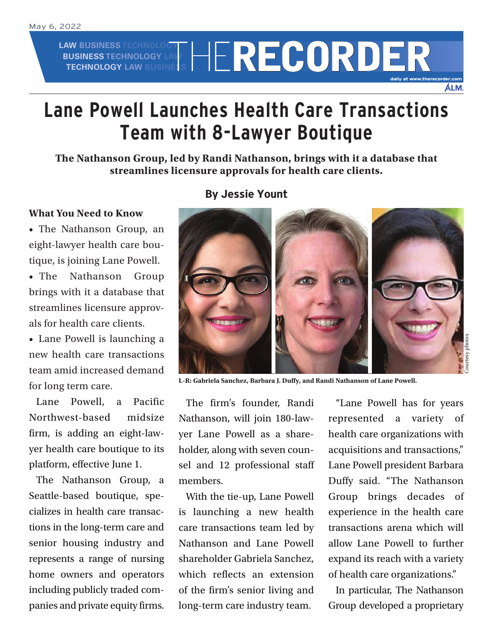**LAW BUSINESS TECHNOLOGY BUSINESS TECHNOLOGY LAW AW BUSINESS TECHNOLOGY LAW RECORDER** 

## **Lane Powell Launches Health Care Transactions Team with 8-Lawyer Boutique**

**The Nathanson Group, led by Randi Nathanson, brings with it a database that streamlines licensure approvals for health care clients.**

## **What You Need to Know**

• The Nathanson Group, an eight-lawyer health care boutique, is joining Lane Powell.

• The Nathanson Group brings with it a database that streamlines licensure approvals for health care clients.

• Lane Powell is launching a new health care transactions team amid increased demand for long term care.

Lane Powell, a Pacific Northwest-based midsize firm, is adding an eight-lawyer health care boutique to its platform, effective June 1.

The Nathanson Group, a Seattle-based boutique, specializes in health care transactions in the long-term care and senior housing industry and represents a range of nursing home owners and operators including publicly traded companies and private equity firms.

## **By Jessie Yount**



**L-R: Gabriela Sanchez, Barbara J. Duffy, and Randi Nathanson of Lane Powell.**

The firm's founder, Randi Nathanson, will join 180-lawyer Lane Powell as a shareholder, along with seven counsel and 12 professional staff members.

With the tie-up, Lane Powell is launching a new health care transactions team led by Nathanson and Lane Powell shareholder Gabriela Sanchez, which reflects an extension of the firm's senior living and long-term care industry team.

"Lane Powell has for years represented a variety of health care organizations with acquisitions and transactions," Lane Powell president Barbara Duffy said. "The Nathanson Group brings decades of experience in the health care transactions arena which will allow Lane Powell to further expand its reach with a variety of health care organizations."

**daily at www.therecorder.com**

ÁLM.

In particular, The Nathanson Group developed a proprietary